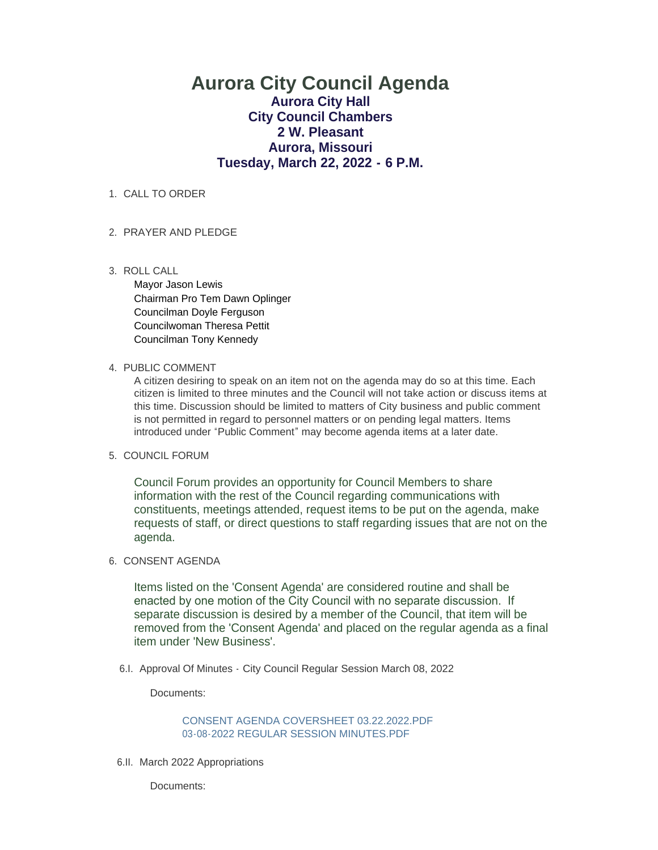# **Aurora City Council Agenda Aurora City Hall City Council Chambers 2 W. Pleasant Aurora, Missouri Tuesday, March 22, 2022 - 6 P.M.**

## 1. CALL TO ORDER

# 2. PRAYER AND PLEDGE

ROLL CALL 3.

Mayor Jason Lewis Chairman Pro Tem Dawn Oplinger Councilman Doyle Ferguson Councilwoman Theresa Pettit Councilman Tony Kennedy

#### 4. PUBLIC COMMENT

A citizen desiring to speak on an item not on the agenda may do so at this time. Each citizen is limited to three minutes and the Council will not take action or discuss items at this time. Discussion should be limited to matters of City business and public comment is not permitted in regard to personnel matters or on pending legal matters. Items introduced under "Public Comment" may become agenda items at a later date.

# 5. COUNCIL FORUM

Council Forum provides an opportunity for Council Members to share information with the rest of the Council regarding communications with constituents, meetings attended, request items to be put on the agenda, make requests of staff, or direct questions to staff regarding issues that are not on the agenda.

# 6. CONSENT AGENDA

Items listed on the 'Consent Agenda' are considered routine and shall be enacted by one motion of the City Council with no separate discussion. If separate discussion is desired by a member of the Council, that item will be removed from the 'Consent Agenda' and placed on the regular agenda as a final item under 'New Business'.

6.I. Approval Of Minutes - City Council Regular Session March 08, 2022

Documents:

[CONSENT AGENDA COVERSHEET 03.22.2022.PDF](https://www.aurora-cityhall.org/AgendaCenter/ViewFile/Item/1647?fileID=1938) [03-08-2022 REGULAR SESSION MINUTES.PDF](https://www.aurora-cityhall.org/AgendaCenter/ViewFile/Item/1647?fileID=1939)

6.II. March 2022 Appropriations

Documents: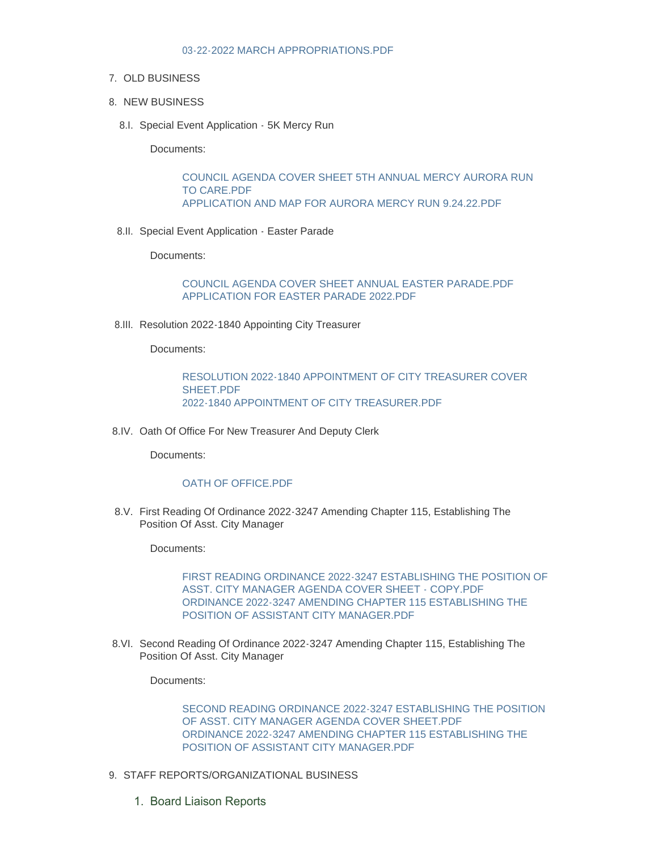# 7. OLD BUSINESS

- 8. NEW BUSINESS
	- 8.I. Special Event Application 5K Mercy Run

Documents:

[COUNCIL AGENDA COVER SHEET 5TH ANNUAL MERCY AURORA RUN](https://www.aurora-cityhall.org/AgendaCenter/ViewFile/Item/1648?fileID=1940)  TO CARE.PDF [APPLICATION AND MAP FOR AURORA MERCY RUN 9.24.22.PDF](https://www.aurora-cityhall.org/AgendaCenter/ViewFile/Item/1648?fileID=1941)

8.II. Special Event Application - Easter Parade

Documents:

[COUNCIL AGENDA COVER SHEET ANNUAL EASTER PARADE.PDF](https://www.aurora-cityhall.org/AgendaCenter/ViewFile/Item/1649?fileID=1942) [APPLICATION FOR EASTER PARADE 2022.PDF](https://www.aurora-cityhall.org/AgendaCenter/ViewFile/Item/1649?fileID=1943)

8.III. Resolution 2022-1840 Appointing City Treasurer

Documents:

[RESOLUTION 2022-1840 APPOINTMENT OF CITY TREASURER COVER](https://www.aurora-cityhall.org/AgendaCenter/ViewFile/Item/1655?fileID=1951)  SHEET.PDF [2022-1840 APPOINTMENT OF CITY TREASURER.PDF](https://www.aurora-cityhall.org/AgendaCenter/ViewFile/Item/1655?fileID=1952)

8.IV. Oath Of Office For New Treasurer And Deputy Clerk

Documents:

### [OATH OF OFFICE.PDF](https://www.aurora-cityhall.org/AgendaCenter/ViewFile/Item/1650?fileID=1944)

8.V. First Reading Of Ordinance 2022-3247 Amending Chapter 115, Establishing The Position Of Asst. City Manager

Documents:

[FIRST READING ORDINANCE 2022-3247 ESTABLISHING THE POSITION OF](https://www.aurora-cityhall.org/AgendaCenter/ViewFile/Item/1652?fileID=1953)  ASST. CITY MANAGER AGENDA COVER SHEET - COPY.PDF [ORDINANCE 2022-3247 AMENDING CHAPTER 115 ESTABLISHING THE](https://www.aurora-cityhall.org/AgendaCenter/ViewFile/Item/1652?fileID=1954)  POSITION OF ASSISTANT CITY MANAGER.PDF

8.VI. Second Reading Of Ordinance 2022-3247 Amending Chapter 115, Establishing The Position Of Asst. City Manager

Documents:

[SECOND READING ORDINANCE 2022-3247 ESTABLISHING THE POSITION](https://www.aurora-cityhall.org/AgendaCenter/ViewFile/Item/1654?fileID=1956)  OF ASST. CITY MANAGER AGENDA COVER SHEET.PDF [ORDINANCE 2022-3247 AMENDING CHAPTER 115 ESTABLISHING THE](https://www.aurora-cityhall.org/AgendaCenter/ViewFile/Item/1654?fileID=1955)  POSITION OF ASSISTANT CITY MANAGER.PDF

- 9. STAFF REPORTS/ORGANIZATIONAL BUSINESS
	- 1. Board Liaison Reports